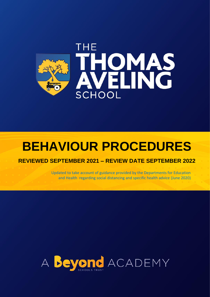

# **BEHAVIOUR PROCEDURES**

### **REVIEWED SEPTEMBER 2021 – REVIEW DATE SEPTEMBER 2022**

Updated to take account of guidance provided by the Departments for Education and Health regarding social distancing and specific health advice (June 2020)

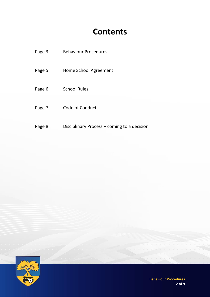# **Contents**

| Page 3 | <b>Behaviour Procedures</b>                 |
|--------|---------------------------------------------|
| Page 5 | Home School Agreement                       |
| Page 6 | <b>School Rules</b>                         |
| Page 7 | Code of Conduct                             |
| Page 8 | Disciplinary Process – coming to a decision |



**Behaviour Procedures 2 of 9**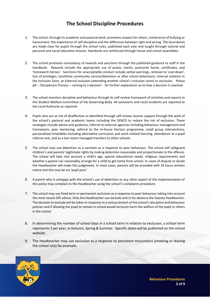## **The School Discipline Procedures**

- 1. The school, through its academic and pastoral work, promotes respect for others, intolerance of bullying or harassment, the importance of self-discipline and the difference between right and wrong. The boundaries are made clear for pupils through the school rules, published each year and taught through tutorial and personal and social education lessons. Standards are reinforced through house and school assemblies.
- 2. The school promotes consistency of rewards and sanctions through the published guidance to staff in the handbook. Rewards include the appropriate use of praise, merits, postcards home, certificates, and 'homework heroes.' Sanctions for unacceptable conduct include verbal warnings, removal to 'cool down', loss of privileges, lunchtime community service/detention or after school detentions, internal isolation in the Inclusion Zone, an External Inclusion (attending another school's Inclusion room) or exclusion. Please p8 – 'Disciplinary Process – coming to a decision' for further explanation as to how a decision is reached.
- 3. The school monitors discipline and behaviour through its self-review framework of activities and reports to the Student Welfare Committee of the Governing Body. All exclusions and racist incidents are reported to the Local Authority as required.
- 4. Pupils who are at risk of disaffection as identified through self review receive support through the work of the school's pastoral and academic teams including the SENCO to reduce the risk of exclusion. These strategies include advice and guidance, referral to external agencies including behaviour management and Connexions, peer mentoring, referral to the in-house Horizon programme, small group interventions, personalised timetables including alternative curriculum and work-related learning, attendance at a pupil referral unit, and as a last resort managed transfers to other schools.
- 5. The school may use detention as a sanction as a response to poor behaviour. The school will safeguard children's and parents' legitimate rights by making detention reasonable and proportionate to the offence. The school will take into account a child's age, special educational needs, religious requirements and whether a parent can reasonably arrange for a child to get home from school. In cases of dispute or doubt the Headteacher will make this judgement. In most cases, parents will be provided with 24 hours written notice and this may be via 'pupil post.'
- 6. A parent who is unhappy with the school's use of detention or any other aspect of the implementation of this policy may complain to the Headteacher using the school's complaints procedure.
- 7. The school may use fixed term or permanent exclusion as a response to poor behaviour taking into account the most recent DfE advice. Only the Headteacher can exclude and in his absence the Deputy Headteacher. The decision to exclude will be taken in response to a serious breach of the school's discipline and behaviour policies and if allowing the pupil to remain in school would seriously harm the welfare of the pupil or others in the school.
- 8. In determining the number of school days in a school term in relation to exclusion, a school term represents 3 per year, ie Autumn, Spring & Summer. Specific dates will be published on the school website.
- 9. The Headteacher may use exclusion as a response to persistent misconduct (smoking or leaving the school site) for example.

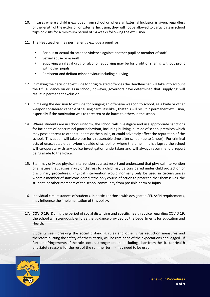- 10. In cases where a child is excluded from school or where an External Inclusion is given, regardless of the length of the exclusion or External Inclusion, they will not be allowed to participate in school trips or visits for a minimum period of 14 weeks following the exclusion.
- 11. The Headteacher may permanently exclude a pupil for:
	- Serious or actual threatened violence against another pupil or member of staff
	- Sexual abuse or assault
	- Supplying an illegal drug or alcohol. Supplying may be for profit or sharing without profit with other pupils.
	- Persistent and defiant misbehaviour including bullying.
- 12. In making the decision to exclude for drug related offences the Headteacher will take into account the DfE guidance on drugs in school; however, governors have determined that 'supplying' will result in permanent exclusion.
- 13. In making the decision to exclude for bringing an offensive weapon to school, eg a knife or other weapon considered capable of causing harm, it is likely that this will result in permanent exclusion, especially if the motivation was to threaten or do harm to others in the school.
- 14. Where students are in school uniform, the school will investigate and use appropriate sanctions for incidents of noncriminal poor behaviour, including bullying, outside of school premises which may pose a threat to other students or the public, or could adversely affect the reputation of the school. This action will take place for a reasonable time after school (up to 1 hour). For criminal acts of unacceptable behaviour outside of school, or where the time limit has lapsed the school will co-operate with any police investigation undertaken and will always recommend a report being made to the Police.
- 15. Staff may only use physical intervention as a last resort and understand that physical intervention of a nature that causes injury or distress to a child may be considered under child protection or disciplinary procedures. Physical intervention would normally only be used in circumstances where a member of staff considered it the only course of action to protect either themselves, the student, or other members of the school community from possible harm or injury.
- 16. Individual circumstances of students, in particular those with designated SEN/AEN requirements, may influence the implementation of this policy.
- 17. **COVID 19:** During the period of social distancing and specific health advice regarding COVID 19, the school will strenuously enforce the guidance provided by the Departments for Education and Health.

Students seen breaking the social distancing rules and other virus reduction measures and therefore putting the safety of others at risk, will be reminded of the expectations and logged. If further infringements of the rules occur, stronger action - including a ban from the site for Health and Safety reasons for the rest of the summer term - may need to be used.

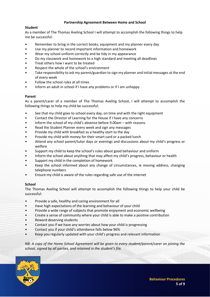#### **Partnership Agreement Between Home and School**

#### **Student**

As a member of The Thomas Aveling School I will attempt to accomplish the following things to help me be successful:

- Remember to bring in the correct books, equipment and my planner every day
- Use my planner to record important information and homework
- Wear my school uniform correctly and be tidy in my appearance
- Do my classwork and homework to a high standard and meeting all deadlines
- Treat others how I want to be treated
- Respect the whole of the school's environment
- Take responsibility to ask my parent/guardian to sign my planner and initial messages at the end of every week
- Follow the school rules at all times
- Inform an adult in school if I have any problems or if I am unhappy

#### **Parent**

As a parent/carer of a member of The Thomas Aveling School, I will attempt to accomplish the following things to help my child be successful:

- See that my child goes to school every day, on time and with the right equipment
- Contact the Director of Learning for the House if I have any concerns
- Inform the school of my child's absence before 9.00am with reasons
- Read the Student Planner every week and sign any messages
- Provide my child with breakfast as a healthy start to the day
- Provide my child with money for their smart card or a packed lunch
- Attend any school parent/tutor days or evenings and discussions about my child's progress or welfare
- Support my child to keep the school's rules about good behaviour and uniform
- Inform the school about anything that may affect my child's progress, behaviour or health
- Support my child in the completion of homework
- Keep the school informed about any change of circumstances, ie moving address, changing telephone numbers
- Ensure my child is aware of the rules regarding safe use of the internet

#### **School**

The Thomas Aveling School will attempt to accomplish the following things to help your child be successful:

- Provide a safe, healthy and caring environment for all
- Have high expectations of the learning and behaviour of your child
- Provide a wide range of subjects that promote enjoyment and economic wellbeing
- Create a sense of community where your child is able to make a positive contribution
- Reward deserving students
- Contact you if we have any worries about how your child is progressing
- Contact you if your child's attendance falls below 96%
- Keep you regularly updated with your child's progress and relevant information

*NB: A copy of the Home School Agreement will be given to every student/parent/carer on joining the school, signed by all parties, and retained in the student's file.*

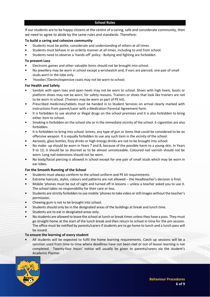#### **School Rules**

If our students are to be happy citizens at the centre of a caring, safe and considerate community, then we need to agree to abide by the same rules and standards. Therefore:

#### **To build a caring and cohesive community**

- Students must be polite, considerate and understanding of others at all times.
- Students must behave in an orderly manner at all times, including to and from school.
- Students need to observe a 'hands-off' policy Bullying and fighting are forbidden.

#### **To prevent Loss**

- Electronic games and other valuable items should not be brought into school.
- No jewellery may be worn in school except a wristwatch and, if ears are pierced, one pair of small studs worn in the lobe only.
- 'Hoodies'/Denim/expensive coats may not be worn to school.

#### **For Health and Safety**

- Sandals with open toes and open heels may not be worn to school. Shoes with high heels, boots or platform shoes may not be worn, for safety reasons. Trainers or shoes that look like trainers are not to be worn in school. (Trainers may be worn as part of PE kit).
- Prescribed medicines/tablets must be handed in to Student Services on arrival clearly marked with instructions from parent/carer with a Medication Parental Agreement form.
- It is forbidden to use alcohol or illegal drugs on the school premises and it is also forbidden to bring either item to school.
- Smoking is forbidden on the school site or in the immediate vicinity of the school. E-cigarettes are also forbidden.
- It is forbidden to bring into school: knives, any type of gun or items that could be considered to be an offensive weapon. It is equally forbidden to use any such item in the vicinity of the school.
- Aerosols, glass bottles, fizzy drinks or high energy drinks are not to be brought into school.
- No make- up should be worn in Years 7 and 8, because of the possible harm to a young skin. In Years 9 to 13, it should be so discreet as to be almost unnoticeable. Coloured nail varnish should not be worn. Long nail extensions should not be worn.
- No body/facial piercing is allowed in school except for one pair of small studs which may be worn in ear lobes.

#### **For the Smooth Running of the School**

- Students must always conform to the school uniform and PE kit requirements.
- Extreme haircuts, styles, colours and patterns are not allowed the Headteacher's decision is final.
- Mobile 'phones must be out of sight and turned off in lessons unless a teacher asked you to use it. The school takes no responsibility for their care or loss.
- Students are strictly forbidden to use mobile 'phones to take video or still images without the teacher's permission.
- Chewing gum is not to be brought into school.
- Students should only be in the designated areas of the buildings at break and lunch time.
- Students are to eat in designated areas only.
- No students are allowed to leave the school at lunch or break times unless they have a pass. They must go straight home at the start of the lunch break and then return to school in time for the pm session. The office must be notified by parents/carers if students are to go home to lunch and a lunch pass will be issued.

#### **To ensure the learning of every student**

• All students will be expected to fulfil the home learning requirements. Catch up sessions will be a sanction used from time to time where deadlines have not been met or out of lesson learning is not completed. Twenty-four hours' notice will usually be given to parents/carers via the student's Academic Planner.

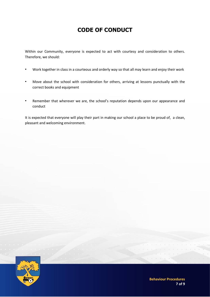# **CODE OF CONDUCT**

Within our Community, everyone is expected to act with courtesy and consideration to others. Therefore, we should:

- Work together in class in a courteous and orderly way so that all may learn and enjoy their work
- Move about the school with consideration for others, arriving at lessons punctually with the correct books and equipment
- Remember that wherever we are, the school's reputation depends upon our appearance and conduct

It is expected that everyone will play their part in making our school a place to be proud of, a clean, pleasant and welcoming environment.

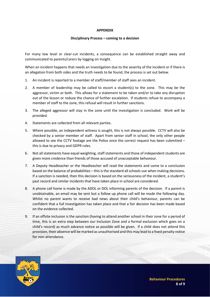#### **APPENDIX**

#### **Disciplinary Process – coming to a decision**

For many low level or clear-cut incidents, a consequence can be established straight away and communicated to parents/carers by logging on Insight.

When an incident happens that needs an investigation due to the severity of the incident or if there is an allegation from both sides and the truth needs to be found, the process is set out below.

- 1. An incident is reported to a member of staff/member of staff sees an incident.
- 2. A member of leadership may be called to escort a student(s) to the zone. This may be the aggressor, victim or both. This allows for a statement to be taken and/or to take any disruption out of the lesson or reduce the chance of further escalation. If students refuse to accompany a member of staff to the zone, this refusal will result in further sanctions.
- 3. The alleged aggressor will stay in the zone until the investigation is concluded. Work will be provided.
- 4. Statements are collected from all relevant parties.
- 5. Where possible, an independent witness is sought, this is not always possible. CCTV will also be checked by a senior member of staff. Apart from senior staff in school, the only other people allowed to see the CCTV footage are the Police once the correct request has been submitted – this is due to privacy and GDPR rules.
- 6. Not all statements have equal weighting, staff statements and those of independent students are given more credence than friends of those accused of unacceptable behaviour.
- 7. A Deputy Headteacher or the Headteacher will read the statements and come to a conclusion based on the balance of probabilities – this is the standard all schools use when making decisions. If a sanction is needed, then this decision is based on the seriousness of the incident, a student's past record and similar incidents that have taken place in school are considered.
- 8. A phone call home is made by the ADOL or DOL informing parents of the decision. If a parent is unobtainable, an email may be sent but a follow up phone call will be made the following day. Whilst no parent wants to receive bad news about their child's behaviour, parents can be confident that a full investigation has taken place and that a fair decision has been made based on the evidence collected.
- 9. If an offsite inclusion is the sanction (having to attend another school in their zone for a period of time, this is an extra step between our Inclusion Zone and a formal exclusion which goes on a child's record) as much advance notice as possible will be given. If a child does not attend this provision, their absence will be marked as unauthorised and this may lead to a fixed penalty notice for non-attendance.